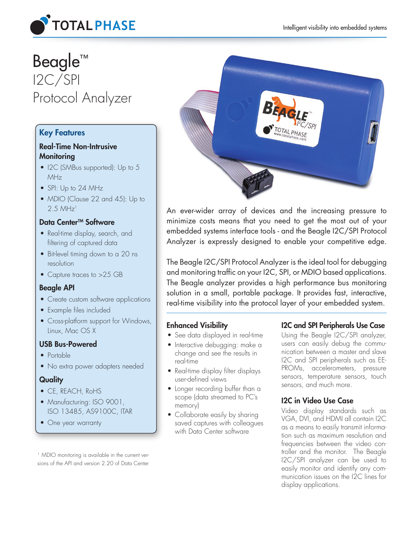

# Beagle<sup>™</sup> I2C/SPI Protocol Analyzer

# Key Features

# Real-Time Non-Intrusive **Monitoring**

- I2C (SMBus supported): Up to 5 MHz
- SPI: Up to 24 MHz
- MDIO (Clause 22 and 45): Up to  $2.5$  MHz<sup>1</sup>

## Data Center™ Software

- Real-time display, search, and filtering of captured data
- Bit-level timing down to a 20 ns resolution
- Capture traces to >25 GB

## Beagle API

- Create custom software applications
- Example files included
- Cross-platform support for Windows, Linux, Mac OS X

## USB Bus-Powered

- Portable
- No extra power adapters needed

## **Quality**

- CE, REACH, RoHS
- Manufacturing: ISO 9001, ISO 13485, AS9100C, ITAR
- One year warranty

<sup>1</sup> MDIO monitoring is available in the current versions of the API and version 2.20 of Data Center



An ever-wider array of devices and the increasing pressure to minimize costs means that you need to get the most out of your embedded systems interface tools - and the Beagle I2C/SPI Protocol Analyzer is expressly designed to enable your competitive edge.

The Beagle I2C/SPI Protocol Analyzer is the ideal tool for debugging and monitoring traffic on your I2C, SPI, or MDIO based applications. The Beagle analyzer provides a high performance bus monitoring solution in a small, portable package. It provides fast, interactive, real-time visibility into the protocol layer of your embedded system.

# Enhanced Visibility

- See data displayed in real-time
- Interactive debugging: make a change and see the results in real-time
- Real-time display filter displays user-defined views
- Longer recording buffer than a scope (data streamed to PC's memory)
- Collaborate easily by sharing saved captures with colleagues with Data Center software

# I2C and SPI Peripherals Use Case

Using the Beagle I2C/SPI analyzer, users can easily debug the communication between a master and slave I2C and SPI peripherals such as EE-PROMs, accelerometers, pressure sensors, temperature sensors, touch sensors, and much more.

# I2C in Video Use Case

Video display standards such as VGA, DVI, and HDMI all contain I2C as a means to easily transmit information such as maximum resolution and frequencies between the video controller and the monitor. The Beagle I2C/SPI analyzer can be used to easily monitor and identify any communication issues on the I2C lines for display applications.